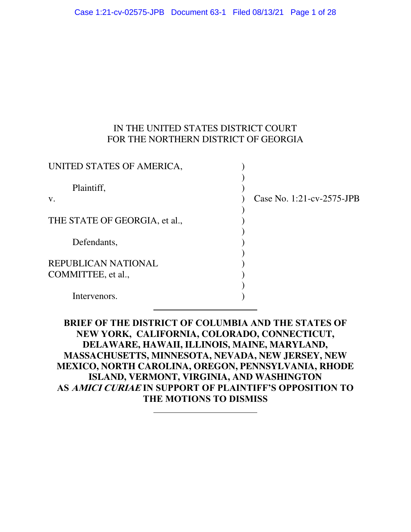### IN THE UNITED STATES DISTRICT COURT FOR THE NORTHERN DISTRICT OF GEORGIA

| UNITED STATES OF AMERICA,                        |                           |
|--------------------------------------------------|---------------------------|
| Plaintiff,<br>V.                                 | Case No. 1:21-cv-2575-JPB |
| THE STATE OF GEORGIA, et al.,                    |                           |
| Defendants,                                      |                           |
| <b>REPUBLICAN NATIONAL</b><br>COMMITTEE, et al., |                           |
| Intervenors.                                     |                           |

**BRIEF OF THE DISTRICT OF COLUMBIA AND THE STATES OF NEW YORK, CALIFORNIA, COLORADO, CONNECTICUT, DELAWARE, HAWAII, ILLINOIS, MAINE, MARYLAND, MASSACHUSETTS, MINNESOTA, NEVADA, NEW JERSEY, NEW MEXICO, NORTH CAROLINA, OREGON, PENNSYLVANIA, RHODE ISLAND, VERMONT, VIRGINIA, AND WASHINGTON AS AMICI CURIAE IN SUPPORT OF PLAINTIFF'S OPPOSITION TO THE MOTIONS TO DISMISS**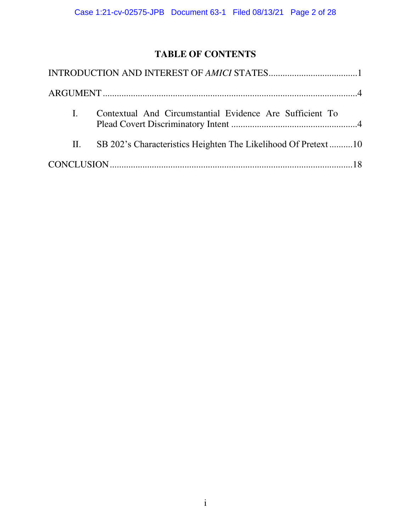# **TABLE OF CONTENTS**

| Contextual And Circumstantial Evidence Are Sufficient To           |  |
|--------------------------------------------------------------------|--|
| II. SB 202's Characteristics Heighten The Likelihood Of Pretext 10 |  |
|                                                                    |  |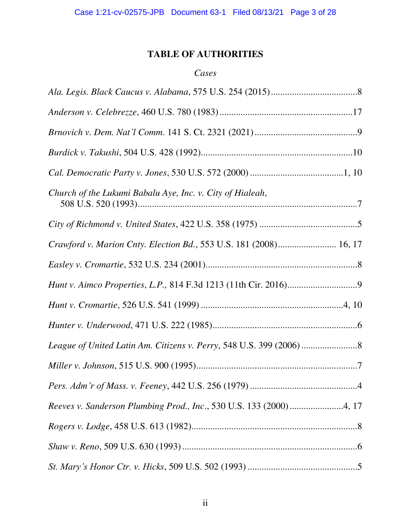## **TABLE OF AUTHORITIES**

### *Cases*

| Church of the Lukumi Babalu Aye, Inc. v. City of Hialeah,           |
|---------------------------------------------------------------------|
|                                                                     |
| Crawford v. Marion Cnty. Election Bd., 553 U.S. 181 (2008) 16, 17   |
|                                                                     |
|                                                                     |
|                                                                     |
|                                                                     |
|                                                                     |
|                                                                     |
|                                                                     |
| Reeves v. Sanderson Plumbing Prod., Inc., 530 U.S. 133 (2000) 4, 17 |
|                                                                     |
|                                                                     |
|                                                                     |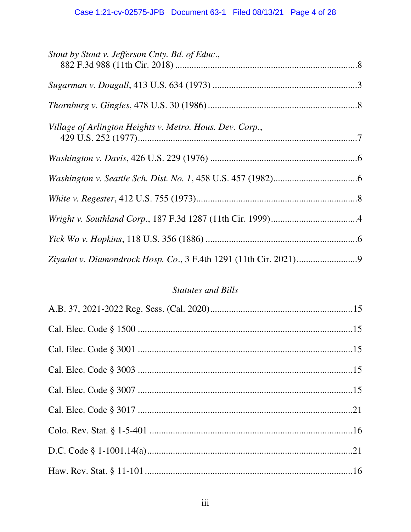| Stout by Stout v. Jefferson Cnty. Bd. of Educ.,          |  |
|----------------------------------------------------------|--|
|                                                          |  |
|                                                          |  |
| Village of Arlington Heights v. Metro. Hous. Dev. Corp., |  |
|                                                          |  |
|                                                          |  |
|                                                          |  |
|                                                          |  |
|                                                          |  |
|                                                          |  |

# **Statutes and Bills**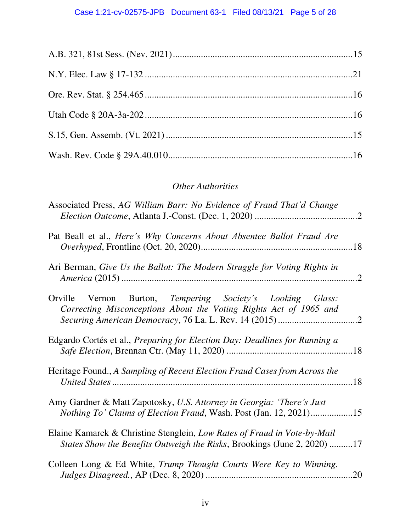## *Other Authorities*

| Associated Press, AG William Barr: No Evidence of Fraud That'd Change                                                                                |  |
|------------------------------------------------------------------------------------------------------------------------------------------------------|--|
| Pat Beall et al., Here's Why Concerns About Absentee Ballot Fraud Are                                                                                |  |
| Ari Berman, Give Us the Ballot: The Modern Struggle for Voting Rights in                                                                             |  |
| Orville Vernon Burton, Tempering Society's Looking Glass:<br>Correcting Misconceptions About the Voting Rights Act of 1965 and                       |  |
| Edgardo Cortés et al., Preparing for Election Day: Deadlines for Running a                                                                           |  |
| Heritage Found., A Sampling of Recent Election Fraud Cases from Across the                                                                           |  |
| Amy Gardner & Matt Zapotosky, U.S. Attorney in Georgia: 'There's Just<br><i>Nothing To' Claims of Election Fraud, Wash. Post (Jan. 12, 2021)15</i>   |  |
| Elaine Kamarck & Christine Stenglein, Low Rates of Fraud in Vote-by-Mail<br>States Show the Benefits Outweigh the Risks, Brookings (June 2, 2020) 17 |  |
| Colleen Long & Ed White, Trump Thought Courts Were Key to Winning.                                                                                   |  |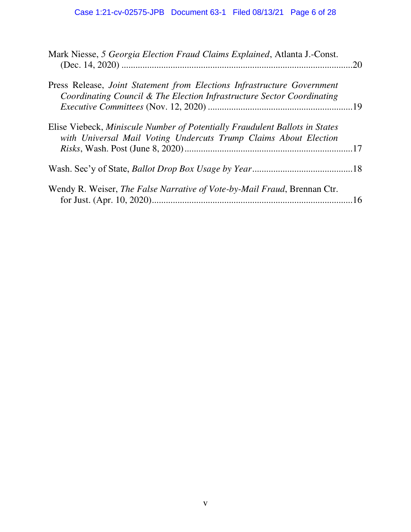| Mark Niesse, 5 Georgia Election Fraud Claims Explained, Atlanta J.-Const.                                                                         | .20 |
|---------------------------------------------------------------------------------------------------------------------------------------------------|-----|
| Press Release, Joint Statement from Elections Infrastructure Government<br>Coordinating Council & The Election Infrastructure Sector Coordinating |     |
| Elise Viebeck, Miniscule Number of Potentially Fraudulent Ballots in States<br>with Universal Mail Voting Undercuts Trump Claims About Election   |     |
|                                                                                                                                                   |     |
| Wendy R. Weiser, <i>The False Narrative of Vote-by-Mail Fraud</i> , Brennan Ctr.                                                                  |     |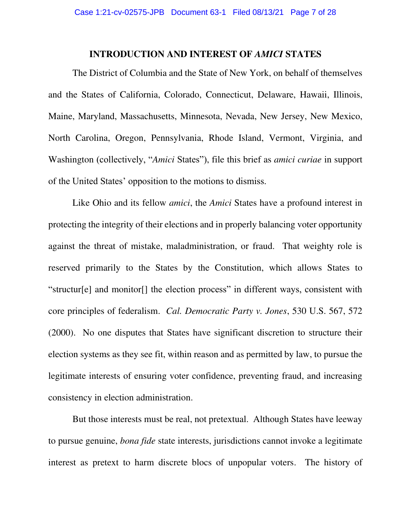## **INTRODUCTION AND INTEREST OF** *AMICI* **STATES**

<span id="page-6-0"></span>The District of Columbia and the State of New York, on behalf of themselves and the States of California, Colorado, Connecticut, Delaware, Hawaii, Illinois, Maine, Maryland, Massachusetts, Minnesota, Nevada, New Jersey, New Mexico, North Carolina, Oregon, Pennsylvania, Rhode Island, Vermont, Virginia, and Washington (collectively, "*Amici* States"), file this brief as *amici curiae* in support of the United States' opposition to the motions to dismiss.

Like Ohio and its fellow *amici*, the *Amici* States have a profound interest in protecting the integrity of their elections and in properly balancing voter opportunity against the threat of mistake, maladministration, or fraud. That weighty role is reserved primarily to the States by the Constitution, which allows States to "structur[e] and monitor[] the election process" in different ways, consistent with core principles of federalism. *Cal. Democratic Party v. Jones*, 530 U.S. 567, 572 (2000). No one disputes that States have significant discretion to structure their election systems as they see fit, within reason and as permitted by law, to pursue the legitimate interests of ensuring voter confidence, preventing fraud, and increasing consistency in election administration.

 But those interests must be real, not pretextual. Although States have leeway to pursue genuine, *bona fide* state interests, jurisdictions cannot invoke a legitimate interest as pretext to harm discrete blocs of unpopular voters. The history of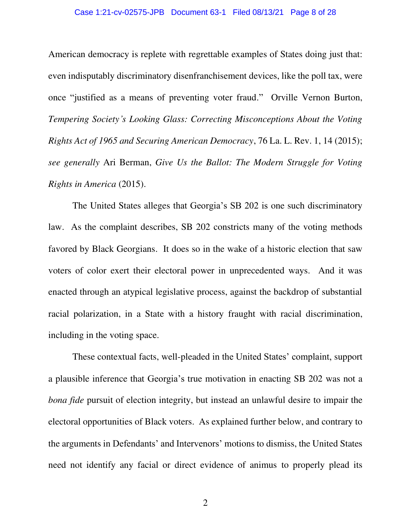#### Case 1:21-cv-02575-JPB Document 63-1 Filed 08/13/21 Page 8 of 28

American democracy is replete with regrettable examples of States doing just that: even indisputably discriminatory disenfranchisement devices, like the poll tax, were once "justified as a means of preventing voter fraud." Orville Vernon Burton, *Tempering Society's Looking Glass: Correcting Misconceptions About the Voting Rights Act of 1965 and Securing American Democracy*, 76 La. L. Rev. 1, 14 (2015); *see generally* Ari Berman, *Give Us the Ballot: The Modern Struggle for Voting Rights in America* (2015).

The United States alleges that Georgia's SB 202 is one such discriminatory law. As the complaint describes, SB 202 constricts many of the voting methods favored by Black Georgians. It does so in the wake of a historic election that saw voters of color exert their electoral power in unprecedented ways. And it was enacted through an atypical legislative process, against the backdrop of substantial racial polarization, in a State with a history fraught with racial discrimination, including in the voting space.

These contextual facts, well-pleaded in the United States' complaint, support a plausible inference that Georgia's true motivation in enacting SB 202 was not a *bona fide* pursuit of election integrity, but instead an unlawful desire to impair the electoral opportunities of Black voters. As explained further below, and contrary to the arguments in Defendants' and Intervenors' motions to dismiss, the United States need not identify any facial or direct evidence of animus to properly plead its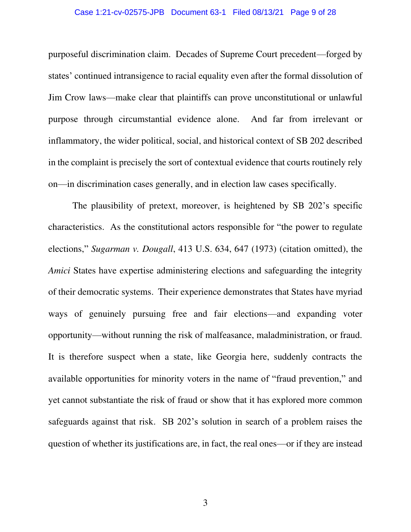#### Case 1:21-cv-02575-JPB Document 63-1 Filed 08/13/21 Page 9 of 28

purposeful discrimination claim. Decades of Supreme Court precedent—forged by states' continued intransigence to racial equality even after the formal dissolution of Jim Crow laws—make clear that plaintiffs can prove unconstitutional or unlawful purpose through circumstantial evidence alone. And far from irrelevant or inflammatory, the wider political, social, and historical context of SB 202 described in the complaint is precisely the sort of contextual evidence that courts routinely rely on—in discrimination cases generally, and in election law cases specifically.

 The plausibility of pretext, moreover, is heightened by SB 202's specific characteristics. As the constitutional actors responsible for "the power to regulate elections," *Sugarman v. Dougall*, 413 U.S. 634, 647 (1973) (citation omitted), the *Amici* States have expertise administering elections and safeguarding the integrity of their democratic systems. Their experience demonstrates that States have myriad ways of genuinely pursuing free and fair elections—and expanding voter opportunity—without running the risk of malfeasance, maladministration, or fraud. It is therefore suspect when a state, like Georgia here, suddenly contracts the available opportunities for minority voters in the name of "fraud prevention," and yet cannot substantiate the risk of fraud or show that it has explored more common safeguards against that risk. SB 202's solution in search of a problem raises the question of whether its justifications are, in fact, the real ones—or if they are instead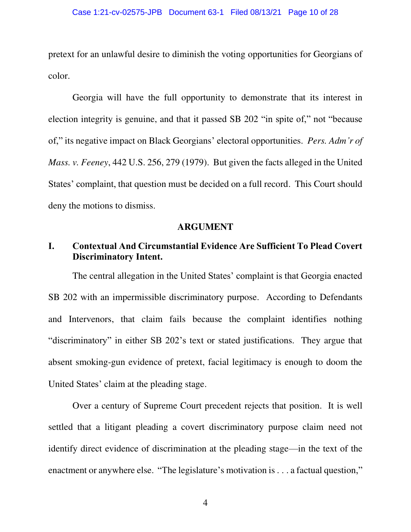pretext for an unlawful desire to diminish the voting opportunities for Georgians of color.

Georgia will have the full opportunity to demonstrate that its interest in election integrity is genuine, and that it passed SB 202 "in spite of," not "because of," its negative impact on Black Georgians' electoral opportunities. *Pers. Adm'r of Mass. v. Feeney*, 442 U.S. 256, 279 (1979). But given the facts alleged in the United States' complaint, that question must be decided on a full record. This Court should deny the motions to dismiss.

### **ARGUMENT**

## <span id="page-9-1"></span><span id="page-9-0"></span>**I. Contextual And Circumstantial Evidence Are Sufficient To Plead Covert Discriminatory Intent.**

The central allegation in the United States' complaint is that Georgia enacted SB 202 with an impermissible discriminatory purpose. According to Defendants and Intervenors, that claim fails because the complaint identifies nothing "discriminatory" in either SB 202's text or stated justifications. They argue that absent smoking-gun evidence of pretext, facial legitimacy is enough to doom the United States' claim at the pleading stage.

Over a century of Supreme Court precedent rejects that position. It is well settled that a litigant pleading a covert discriminatory purpose claim need not identify direct evidence of discrimination at the pleading stage—in the text of the enactment or anywhere else. "The legislature's motivation is . . . a factual question,"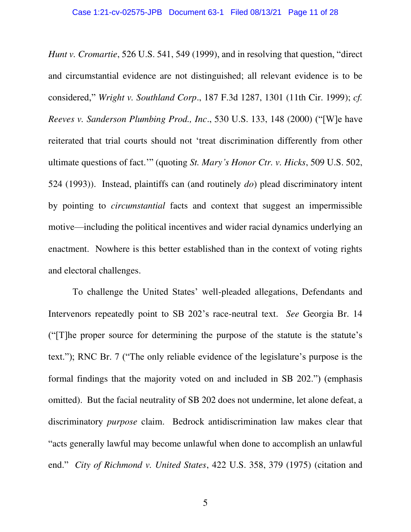*Hunt v. Cromartie*, 526 U.S. 541, 549 (1999), and in resolving that question, "direct and circumstantial evidence are not distinguished; all relevant evidence is to be considered," *Wright v. Southland Corp*., 187 F.3d 1287, 1301 (11th Cir. 1999); *cf. Reeves v. Sanderson Plumbing Prod., Inc*., 530 U.S. 133, 148 (2000) ("[W]e have reiterated that trial courts should not 'treat discrimination differently from other ultimate questions of fact.'" (quoting *St. Mary's Honor Ctr. v. Hicks*, 509 U.S. 502, 524 (1993)). Instead, plaintiffs can (and routinely *do*) plead discriminatory intent by pointing to *circumstantial* facts and context that suggest an impermissible motive—including the political incentives and wider racial dynamics underlying an enactment. Nowhere is this better established than in the context of voting rights and electoral challenges.

To challenge the United States' well-pleaded allegations, Defendants and Intervenors repeatedly point to SB 202's race-neutral text. *See* Georgia Br. 14 ("[T]he proper source for determining the purpose of the statute is the statute's text."); RNC Br. 7 ("The only reliable evidence of the legislature's purpose is the formal findings that the majority voted on and included in SB 202.") (emphasis omitted). But the facial neutrality of SB 202 does not undermine, let alone defeat, a discriminatory *purpose* claim. Bedrock antidiscrimination law makes clear that "acts generally lawful may become unlawful when done to accomplish an unlawful end." *City of Richmond v. United States*, 422 U.S. 358, 379 (1975) (citation and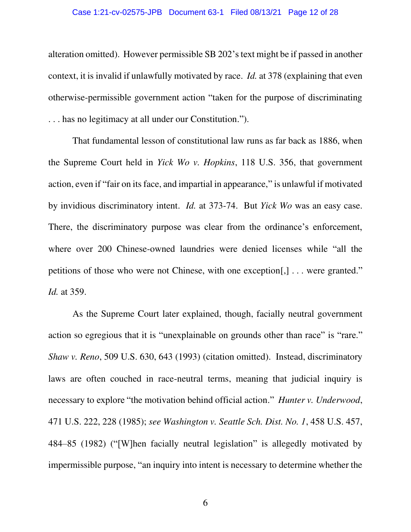#### Case 1:21-cv-02575-JPB Document 63-1 Filed 08/13/21 Page 12 of 28

alteration omitted). However permissible SB 202's text might be if passed in another context, it is invalid if unlawfully motivated by race. *Id.* at 378 (explaining that even otherwise-permissible government action "taken for the purpose of discriminating . . . has no legitimacy at all under our Constitution.").

That fundamental lesson of constitutional law runs as far back as 1886, when the Supreme Court held in *Yick Wo v. Hopkins*, 118 U.S. 356, that government action, even if "fair on its face, and impartial in appearance," is unlawful if motivated by invidious discriminatory intent. *Id.* at 373-74. But *Yick Wo* was an easy case. There, the discriminatory purpose was clear from the ordinance's enforcement, where over 200 Chinese-owned laundries were denied licenses while "all the petitions of those who were not Chinese, with one exception[,] . . . were granted." *Id.* at 359.

As the Supreme Court later explained, though, facially neutral government action so egregious that it is "unexplainable on grounds other than race" is "rare." *Shaw v. Reno*, 509 U.S. 630, 643 (1993) (citation omitted). Instead, discriminatory laws are often couched in race-neutral terms, meaning that judicial inquiry is necessary to explore "the motivation behind official action." *Hunter v. Underwood*, 471 U.S. 222, 228 (1985); *see Washington v. Seattle Sch. Dist. No. 1*, 458 U.S. 457, 484–85 (1982) ("[W]hen facially neutral legislation" is allegedly motivated by impermissible purpose, "an inquiry into intent is necessary to determine whether the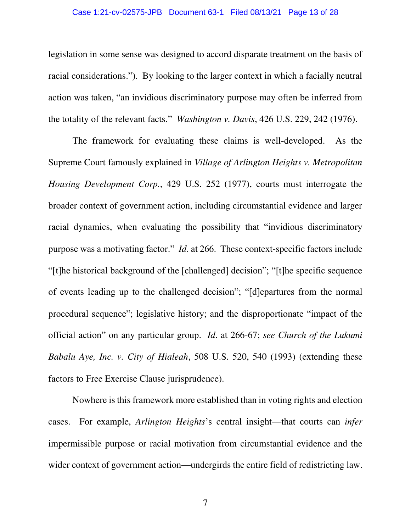#### Case 1:21-cv-02575-JPB Document 63-1 Filed 08/13/21 Page 13 of 28

legislation in some sense was designed to accord disparate treatment on the basis of racial considerations."). By looking to the larger context in which a facially neutral action was taken, "an invidious discriminatory purpose may often be inferred from the totality of the relevant facts." *Washington v. Davis*, 426 U.S. 229, 242 (1976).

The framework for evaluating these claims is well-developed. As the Supreme Court famously explained in *Village of Arlington Heights v. Metropolitan Housing Development Corp.*, 429 U.S. 252 (1977), courts must interrogate the broader context of government action, including circumstantial evidence and larger racial dynamics, when evaluating the possibility that "invidious discriminatory purpose was a motivating factor." *Id*. at 266. These context-specific factors include "[t]he historical background of the [challenged] decision"; "[t]he specific sequence of events leading up to the challenged decision"; "[d]epartures from the normal procedural sequence"; legislative history; and the disproportionate "impact of the official action" on any particular group. *Id*. at 266-67; *see Church of the Lukumi Babalu Aye, Inc. v. City of Hialeah*, 508 U.S. 520, 540 (1993) (extending these factors to Free Exercise Clause jurisprudence).

Nowhere is this framework more established than in voting rights and election cases. For example, *Arlington Heights*'s central insight—that courts can *infer* impermissible purpose or racial motivation from circumstantial evidence and the wider context of government action—undergirds the entire field of redistricting law.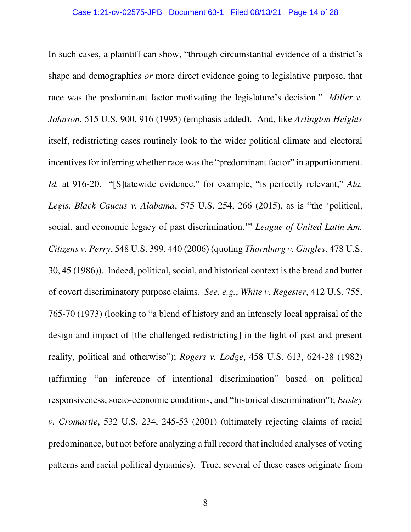In such cases, a plaintiff can show, "through circumstantial evidence of a district's shape and demographics *or* more direct evidence going to legislative purpose, that race was the predominant factor motivating the legislature's decision." *Miller v. Johnson*, 515 U.S. 900, 916 (1995) (emphasis added). And, like *Arlington Heights* itself, redistricting cases routinely look to the wider political climate and electoral incentives for inferring whether race was the "predominant factor" in apportionment. *Id.* at 916-20. "[S]tatewide evidence," for example, "is perfectly relevant," *Ala. Legis. Black Caucus v. Alabama*, 575 U.S. 254, 266 (2015), as is "the 'political, social, and economic legacy of past discrimination,'" *League of United Latin Am. Citizens v. Perry*, 548 U.S. 399, 440 (2006) (quoting *Thornburg v. Gingles*, 478 U.S. 30, 45 (1986)). Indeed, political, social, and historical context is the bread and butter of covert discriminatory purpose claims. *See, e.g.*, *White v. Regester*, 412 U.S. 755, 765-70 (1973) (looking to "a blend of history and an intensely local appraisal of the design and impact of [the challenged redistricting] in the light of past and present reality, political and otherwise"); *Rogers v. Lodge*, 458 U.S. 613, 624-28 (1982) (affirming "an inference of intentional discrimination" based on political responsiveness, socio-economic conditions, and "historical discrimination"); *Easley v. Cromartie*, 532 U.S. 234, 245-53 (2001) (ultimately rejecting claims of racial predominance, but not before analyzing a full record that included analyses of voting patterns and racial political dynamics). True, several of these cases originate from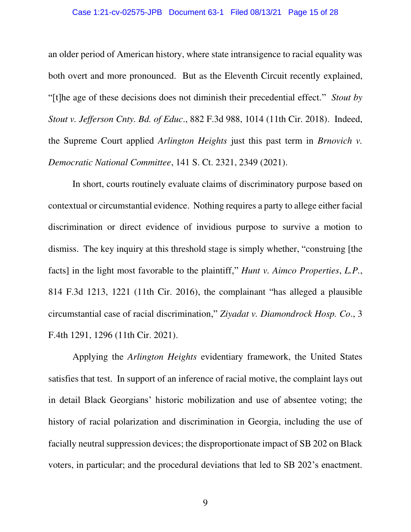#### Case 1:21-cv-02575-JPB Document 63-1 Filed 08/13/21 Page 15 of 28

an older period of American history, where state intransigence to racial equality was both overt and more pronounced. But as the Eleventh Circuit recently explained, "[t]he age of these decisions does not diminish their precedential effect." *Stout by Stout v. Jefferson Cnty. Bd. of Educ*., 882 F.3d 988, 1014 (11th Cir. 2018). Indeed, the Supreme Court applied *Arlington Heights* just this past term in *Brnovich v. Democratic National Committee*, 141 S. Ct. 2321, 2349 (2021).

 In short, courts routinely evaluate claims of discriminatory purpose based on contextual or circumstantial evidence. Nothing requires a party to allege either facial discrimination or direct evidence of invidious purpose to survive a motion to dismiss. The key inquiry at this threshold stage is simply whether, "construing [the facts] in the light most favorable to the plaintiff," *Hunt v. Aimco Properties*, *L.P.*, 814 F.3d 1213, 1221 (11th Cir. 2016), the complainant "has alleged a plausible circumstantial case of racial discrimination," *Ziyadat v. Diamondrock Hosp. Co*., 3 F.4th 1291, 1296 (11th Cir. 2021).

Applying the *Arlington Heights* evidentiary framework, the United States satisfies that test. In support of an inference of racial motive, the complaint lays out in detail Black Georgians' historic mobilization and use of absentee voting; the history of racial polarization and discrimination in Georgia, including the use of facially neutral suppression devices; the disproportionate impact of SB 202 on Black voters, in particular; and the procedural deviations that led to SB 202's enactment.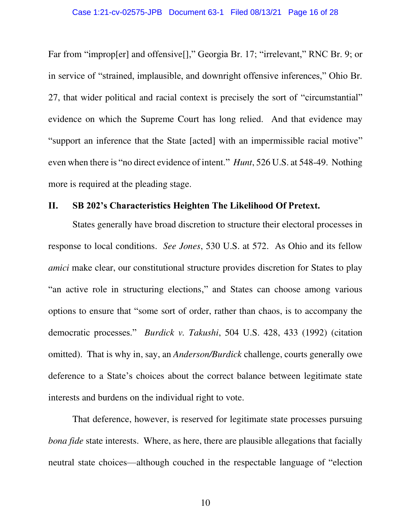Far from "improp[er] and offensive[]," Georgia Br. 17; "irrelevant," RNC Br. 9; or in service of "strained, implausible, and downright offensive inferences," Ohio Br. 27, that wider political and racial context is precisely the sort of "circumstantial" evidence on which the Supreme Court has long relied. And that evidence may "support an inference that the State [acted] with an impermissible racial motive" even when there is "no direct evidence of intent." *Hunt*, 526 U.S. at 548-49. Nothing more is required at the pleading stage.

### <span id="page-15-0"></span>**II. SB 202's Characteristics Heighten The Likelihood Of Pretext.**

 States generally have broad discretion to structure their electoral processes in response to local conditions. *See Jones*, 530 U.S. at 572. As Ohio and its fellow *amici* make clear, our constitutional structure provides discretion for States to play "an active role in structuring elections," and States can choose among various options to ensure that "some sort of order, rather than chaos, is to accompany the democratic processes." *Burdick v. Takushi*, 504 U.S. 428, 433 (1992) (citation omitted). That is why in, say, an *Anderson/Burdick* challenge, courts generally owe deference to a State's choices about the correct balance between legitimate state interests and burdens on the individual right to vote.

 That deference, however, is reserved for legitimate state processes pursuing *bona fide* state interests. Where, as here, there are plausible allegations that facially neutral state choices—although couched in the respectable language of "election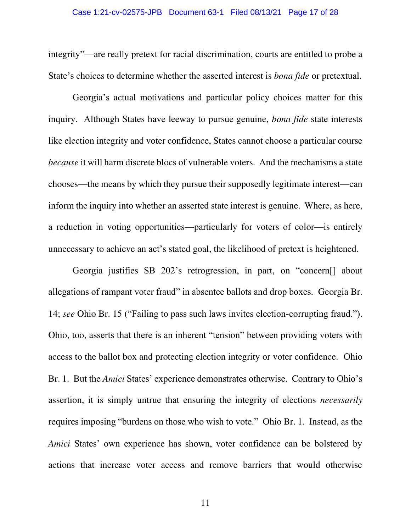integrity"—are really pretext for racial discrimination, courts are entitled to probe a State's choices to determine whether the asserted interest is *bona fide* or pretextual.

Georgia's actual motivations and particular policy choices matter for this inquiry. Although States have leeway to pursue genuine, *bona fide* state interests like election integrity and voter confidence, States cannot choose a particular course *because* it will harm discrete blocs of vulnerable voters. And the mechanisms a state chooses—the means by which they pursue their supposedly legitimate interest—can inform the inquiry into whether an asserted state interest is genuine. Where, as here, a reduction in voting opportunities—particularly for voters of color—is entirely unnecessary to achieve an act's stated goal, the likelihood of pretext is heightened.

Georgia justifies SB 202's retrogression, in part, on "concern[] about allegations of rampant voter fraud" in absentee ballots and drop boxes. Georgia Br. 14; *see* Ohio Br. 15 ("Failing to pass such laws invites election-corrupting fraud."). Ohio, too, asserts that there is an inherent "tension" between providing voters with access to the ballot box and protecting election integrity or voter confidence. Ohio Br. 1. But the *Amici* States' experience demonstrates otherwise. Contrary to Ohio's assertion, it is simply untrue that ensuring the integrity of elections *necessarily* requires imposing "burdens on those who wish to vote." Ohio Br. 1*.* Instead, as the *Amici* States' own experience has shown, voter confidence can be bolstered by actions that increase voter access and remove barriers that would otherwise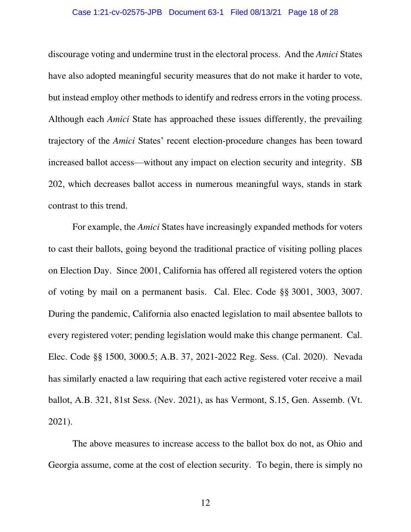#### Case 1:21-cv-02575-JPB Document 63-1 Filed 08/13/21 Page 18 of 28

discourage voting and undermine trust in the electoral process. And the *Amici* States have also adopted meaningful security measures that do not make it harder to vote, but instead employ other methods to identify and redress errors in the voting process. Although each *Amici* State has approached these issues differently, the prevailing trajectory of the *Amici* States' recent election-procedure changes has been toward increased ballot access—without any impact on election security and integrity. SB 202, which decreases ballot access in numerous meaningful ways, stands in stark contrast to this trend.

For example, the *Amici* States have increasingly expanded methods for voters to cast their ballots, going beyond the traditional practice of visiting polling places on Election Day. Since 2001, California has offered all registered voters the option of voting by mail on a permanent basis. Cal. Elec. Code §§ 3001, 3003, 3007. During the pandemic, California also enacted legislation to mail absentee ballots to every registered voter; pending legislation would make this change permanent. Cal. Elec. Code §§ 1500, 3000.5; A.B. 37, 2021-2022 Reg. Sess. (Cal. 2020). Nevada has similarly enacted a law requiring that each active registered voter receive a mail ballot, A.B. 321, 81st Sess. (Nev. 2021), as has Vermont, S.15, Gen. Assemb. (Vt. 2021).

The above measures to increase access to the ballot box do not, as Ohio and Georgia assume, come at the cost of election security. To begin, there is simply no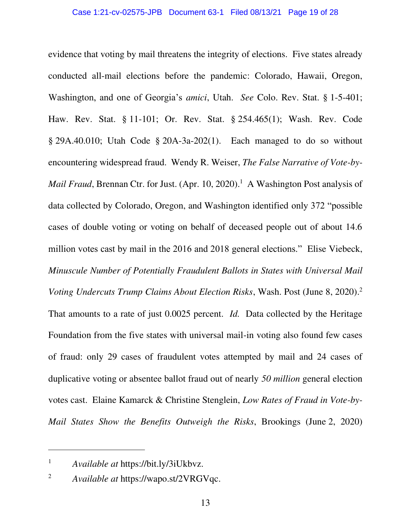evidence that voting by mail threatens the integrity of elections. Five states already conducted all-mail elections before the pandemic: Colorado, Hawaii, Oregon, Washington, and one of Georgia's *amici*, Utah. *See* Colo. Rev. Stat. § 1-5-401; Haw. Rev. Stat. § 11-101; Or. Rev. Stat. § 254.465(1); Wash. Rev. Code  $\S$  29A.40.010; Utah Code  $\S$  20A-3a-202(1). Each managed to do so without encountering widespread fraud. Wendy R. Weiser, *The False Narrative of Vote-by-Mail Fraud*, Brennan Ctr. for Just. (Apr. 10, 2020).<sup>1</sup> A Washington Post analysis of data collected by Colorado, Oregon, and Washington identified only 372 "possible cases of double voting or voting on behalf of deceased people out of about 14.6 million votes cast by mail in the 2016 and 2018 general elections." Elise Viebeck, *Minuscule Number of Potentially Fraudulent Ballots in States with Universal Mail Voting Undercuts Trump Claims About Election Risks*, Wash. Post (June 8, 2020).<sup>2</sup> That amounts to a rate of just 0.0025 percent. *Id.* Data collected by the Heritage Foundation from the five states with universal mail-in voting also found few cases of fraud: only 29 cases of fraudulent votes attempted by mail and 24 cases of duplicative voting or absentee ballot fraud out of nearly *50 million* general election votes cast. Elaine Kamarck & Christine Stenglein, *Low Rates of Fraud in Vote-by-Mail States Show the Benefits Outweigh the Risks*, Brookings (June 2, 2020)

<sup>1</sup> *Available at* https://bit.ly/3iUkbvz.

<sup>2</sup> *Available at* https://wapo.st/2VRGVqc.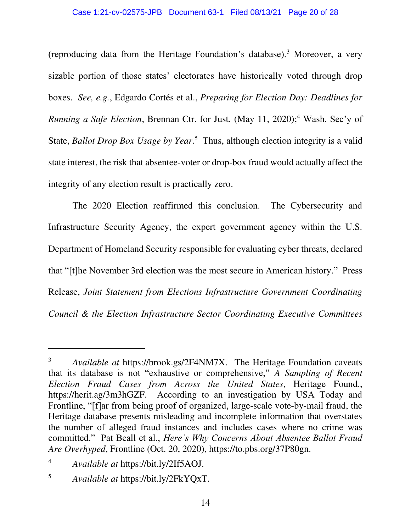(reproducing data from the Heritage Foundation's database).<sup>3</sup> Moreover, a very sizable portion of those states' electorates have historically voted through drop boxes. *See, e.g.*, Edgardo Cortés et al., *Preparing for Election Day: Deadlines for Running a Safe Election*, Brennan Ctr. for Just. (May 11, 2020);<sup>4</sup> Wash. Sec'y of State, *Ballot Drop Box Usage by Year*.<sup>5</sup> Thus, although election integrity is a valid state interest, the risk that absentee-voter or drop-box fraud would actually affect the integrity of any election result is practically zero.

The 2020 Election reaffirmed this conclusion. The Cybersecurity and Infrastructure Security Agency, the expert government agency within the U.S. Department of Homeland Security responsible for evaluating cyber threats, declared that "[t]he November 3rd election was the most secure in American history." Press Release, *Joint Statement from Elections Infrastructure Government Coordinating Council & the Election Infrastructure Sector Coordinating Executive Committees*

<sup>3</sup> *Available at* https://brook.gs/2F4NM7X. The Heritage Foundation caveats that its database is not "exhaustive or comprehensive," *A Sampling of Recent Election Fraud Cases from Across the United States*, Heritage Found., https://herit.ag/3m3hGZF. According to an investigation by USA Today and Frontline, "[f]ar from being proof of organized, large-scale vote-by-mail fraud, the Heritage database presents misleading and incomplete information that overstates the number of alleged fraud instances and includes cases where no crime was committed." Pat Beall et al., *Here's Why Concerns About Absentee Ballot Fraud Are Overhyped*, Frontline (Oct. 20, 2020), https://to.pbs.org/37P80gn.

<sup>4</sup> *Available at* https://bit.ly/2If5AOJ.

<sup>5</sup> *Available at* https://bit.ly/2FkYQxT.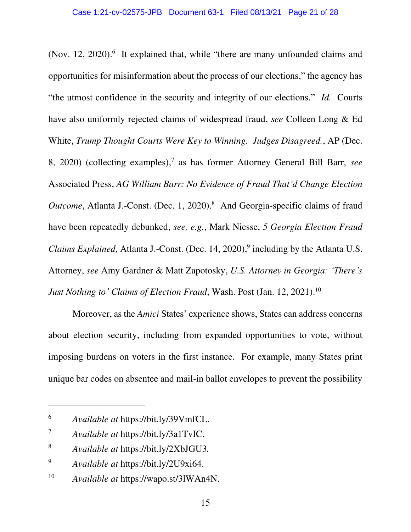(Nov. 12, 2020). $6$  It explained that, while "there are many unfounded claims and opportunities for misinformation about the process of our elections," the agency has "the utmost confidence in the security and integrity of our elections." *Id.* Courts have also uniformly rejected claims of widespread fraud, *see* Colleen Long & Ed White, *Trump Thought Courts Were Key to Winning. Judges Disagreed.*, AP (Dec. 8, 2020) (collecting examples),<sup>7</sup> as has former Attorney General Bill Barr, see Associated Press, *AG William Barr: No Evidence of Fraud That'd Change Election*  Outcome, Atlanta J.-Const. (Dec. 1, 2020).<sup>8</sup> And Georgia-specific claims of fraud have been repeatedly debunked, *see, e.g.*, Mark Niesse, *5 Georgia Election Fraud Claims Explained*, Atlanta J.-Const. (Dec. 14, 2020),<sup>9</sup> including by the Atlanta U.S. Attorney, *see* Amy Gardner & Matt Zapotosky, *U.S. Attorney in Georgia: 'There's Just Nothing to' Claims of Election Fraud, Wash. Post (Jan. 12, 2021).*<sup>10</sup>

Moreover, as the *Amici* States' experience shows, States can address concerns about election security, including from expanded opportunities to vote, without imposing burdens on voters in the first instance. For example, many States print unique bar codes on absentee and mail-in ballot envelopes to prevent the possibility

<sup>6</sup> *Available at* https://bit.ly/39VmfCL.

<sup>7</sup> *Available at* https://bit.ly/3a1TvIC.

<sup>8</sup> *Available at* https://bit.ly/2XbJGU3*.*

<sup>9</sup> *Available at* https://bit.ly/2U9xi64.

<sup>10</sup> *Available at* https://wapo.st/3lWAn4N.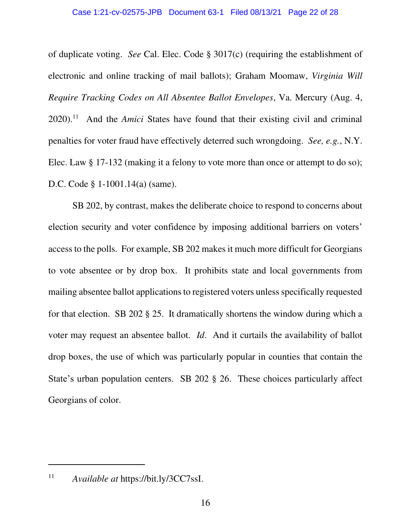of duplicate voting. *See* Cal. Elec. Code § 3017(c) (requiring the establishment of electronic and online tracking of mail ballots); Graham Moomaw, *Virginia Will Require Tracking Codes on All Absentee Ballot Envelopes*, Va. Mercury (Aug. 4, 2020).<sup>11</sup> And the *Amici* States have found that their existing civil and criminal penalties for voter fraud have effectively deterred such wrongdoing. *See, e.g.*, N.Y. Elec. Law § 17-132 (making it a felony to vote more than once or attempt to do so); D.C. Code § 1-1001.14(a) (same).

SB 202, by contrast, makes the deliberate choice to respond to concerns about election security and voter confidence by imposing additional barriers on voters' access to the polls. For example, SB 202 makes it much more difficult for Georgians to vote absentee or by drop box. It prohibits state and local governments from mailing absentee ballot applications to registered voters unless specifically requested for that election. SB 202 § 25. It dramatically shortens the window during which a voter may request an absentee ballot. *Id*. And it curtails the availability of ballot drop boxes, the use of which was particularly popular in counties that contain the State's urban population centers. SB 202 § 26. These choices particularly affect Georgians of color.

<sup>11</sup> *Available at* https://bit.ly/3CC7ssI.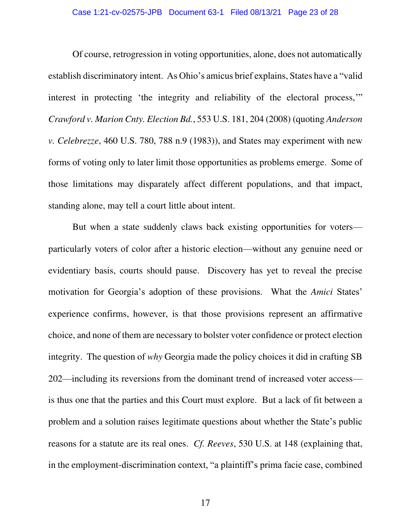Of course, retrogression in voting opportunities, alone, does not automatically establish discriminatory intent. As Ohio's amicus brief explains, States have a "valid interest in protecting 'the integrity and reliability of the electoral process,'" *Crawford v. Marion Cnty. Election Bd.*, 553 U.S. 181, 204 (2008) (quoting *Anderson v. Celebrezze*, 460 U.S. 780, 788 n.9 (1983)), and States may experiment with new forms of voting only to later limit those opportunities as problems emerge. Some of those limitations may disparately affect different populations, and that impact, standing alone, may tell a court little about intent.

But when a state suddenly claws back existing opportunities for voters particularly voters of color after a historic election—without any genuine need or evidentiary basis, courts should pause. Discovery has yet to reveal the precise motivation for Georgia's adoption of these provisions. What the *Amici* States' experience confirms, however, is that those provisions represent an affirmative choice, and none of them are necessary to bolster voter confidence or protect election integrity. The question of *why* Georgia made the policy choices it did in crafting SB 202—including its reversions from the dominant trend of increased voter access is thus one that the parties and this Court must explore. But a lack of fit between a problem and a solution raises legitimate questions about whether the State's public reasons for a statute are its real ones. *Cf. Reeves*, 530 U.S. at 148 (explaining that, in the employment-discrimination context, "a plaintiff's prima facie case, combined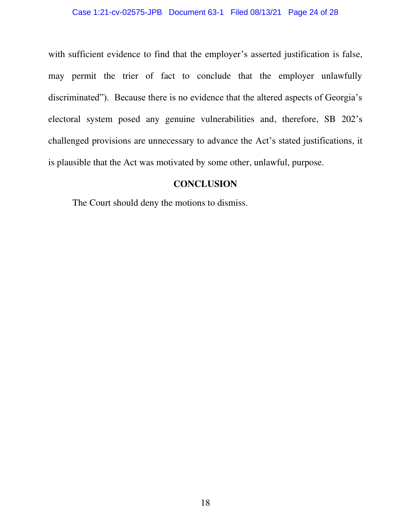with sufficient evidence to find that the employer's asserted justification is false, may permit the trier of fact to conclude that the employer unlawfully discriminated"). Because there is no evidence that the altered aspects of Georgia's electoral system posed any genuine vulnerabilities and, therefore, SB 202's challenged provisions are unnecessary to advance the Act's stated justifications, it is plausible that the Act was motivated by some other, unlawful, purpose.

### **CONCLUSION**

<span id="page-23-0"></span>The Court should deny the motions to dismiss.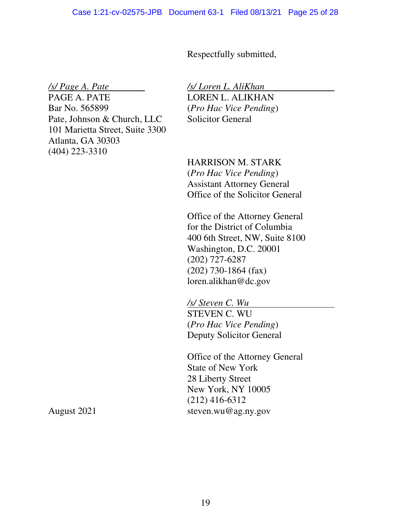Respectfully submitted,

*/s/ Page A. Pate* 

PAGE A. PATE Bar No. 565899 Pate, Johnson & Church, LLC 101 Marietta Street, Suite 3300 Atlanta, GA 30303 (404) 223-3310

*/s/ Loren L. AliKhan*  LOREN L. ALIKHAN (*Pro Hac Vice Pending*) Solicitor General

HARRISON M. STARK (*Pro Hac Vice Pending*) Assistant Attorney General Office of the Solicitor General

Office of the Attorney General for the District of Columbia 400 6th Street, NW, Suite 8100 Washington, D.C. 20001 (202) 727-6287 (202) 730-1864 (fax) loren.alikhan@dc.gov

*/s/ Steven C. Wu* . STEVEN C. WU (*Pro Hac Vice Pending*) Deputy Solicitor General

Office of the Attorney General State of New York 28 Liberty Street New York, NY 10005 (212) 416-6312 steven.wu@ag.ny.gov

August 2021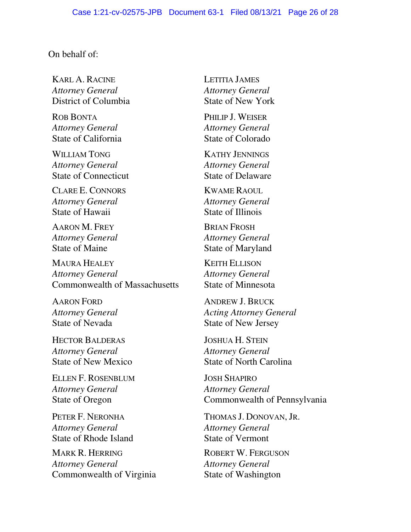### On behalf of:

KARL A. RACINE *Attorney General* District of Columbia

ROB BONTA *Attorney General*  State of California

WILLIAM TONG *Attorney General*  State of Connecticut

CLARE E. CONNORS *Attorney General*  State of Hawaii

AARON M. FREY *Attorney General*  State of Maine

MAURA HEALEY *Attorney General*  Commonwealth of Massachusetts

AARON FORD *Attorney General*  State of Nevada

HECTOR BALDERAS *Attorney General*  State of New Mexico

ELLEN F. ROSENBLUM *Attorney General*  State of Oregon

PETER F. NERONHA *Attorney General*  State of Rhode Island

MARK R. HERRING *Attorney General*  Commonwealth of Virginia LETITIA JAMES *Attorney General*  State of New York

PHILIP J. WEISER *Attorney General*  State of Colorado

KATHY JENNINGS *Attorney General*  State of Delaware

KWAME RAOUL *Attorney General* State of Illinois

BRIAN FROSH *Attorney General*  State of Maryland

KEITH ELLISON *Attorney General*  State of Minnesota

ANDREW J. BRUCK *Acting Attorney General*  State of New Jersey

JOSHUA H. STEIN *Attorney General*  State of North Carolina

JOSH SHAPIRO *Attorney General*  Commonwealth of Pennsylvania

THOMAS J. DONOVAN, JR. *Attorney General*  State of Vermont

ROBERT W. FERGUSON *Attorney General*  State of Washington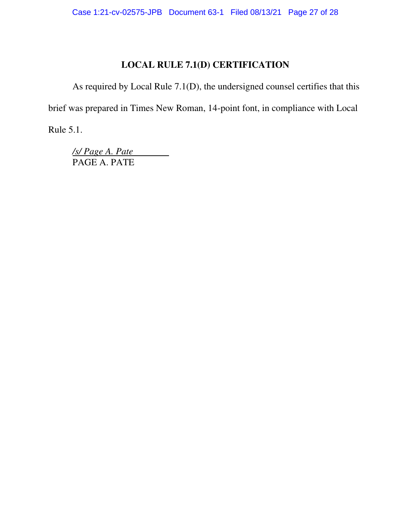# **LOCAL RULE 7.1(D) CERTIFICATION**

As required by Local Rule 7.1(D), the undersigned counsel certifies that this brief was prepared in Times New Roman, 14-point font, in compliance with Local

Rule 5.1.

*/s/ Page A. Pate*  PAGE A. PATE